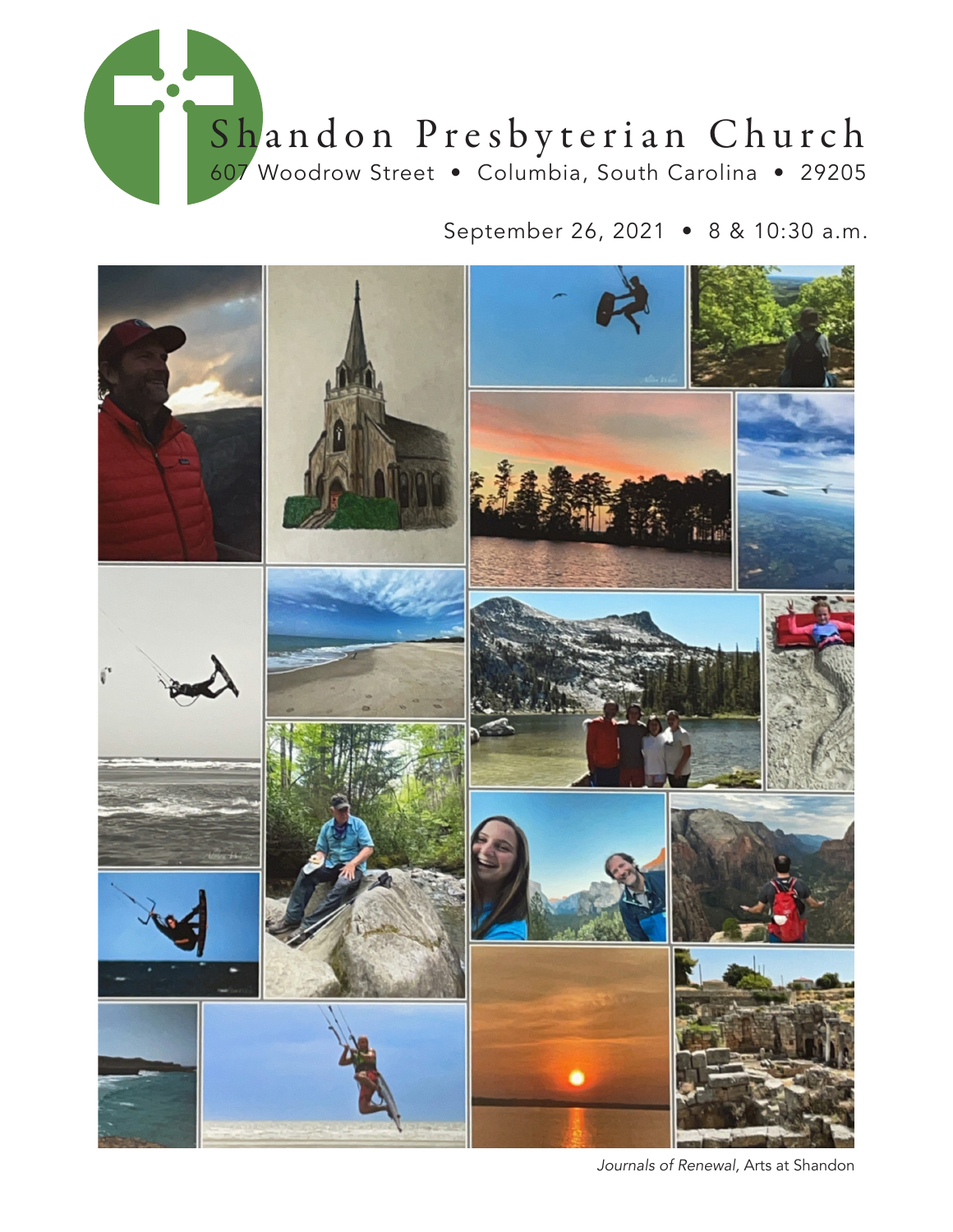

September 26, 2021 • 8 & 10:30 a.m.



*Journals of Renewal,* Arts at Shandon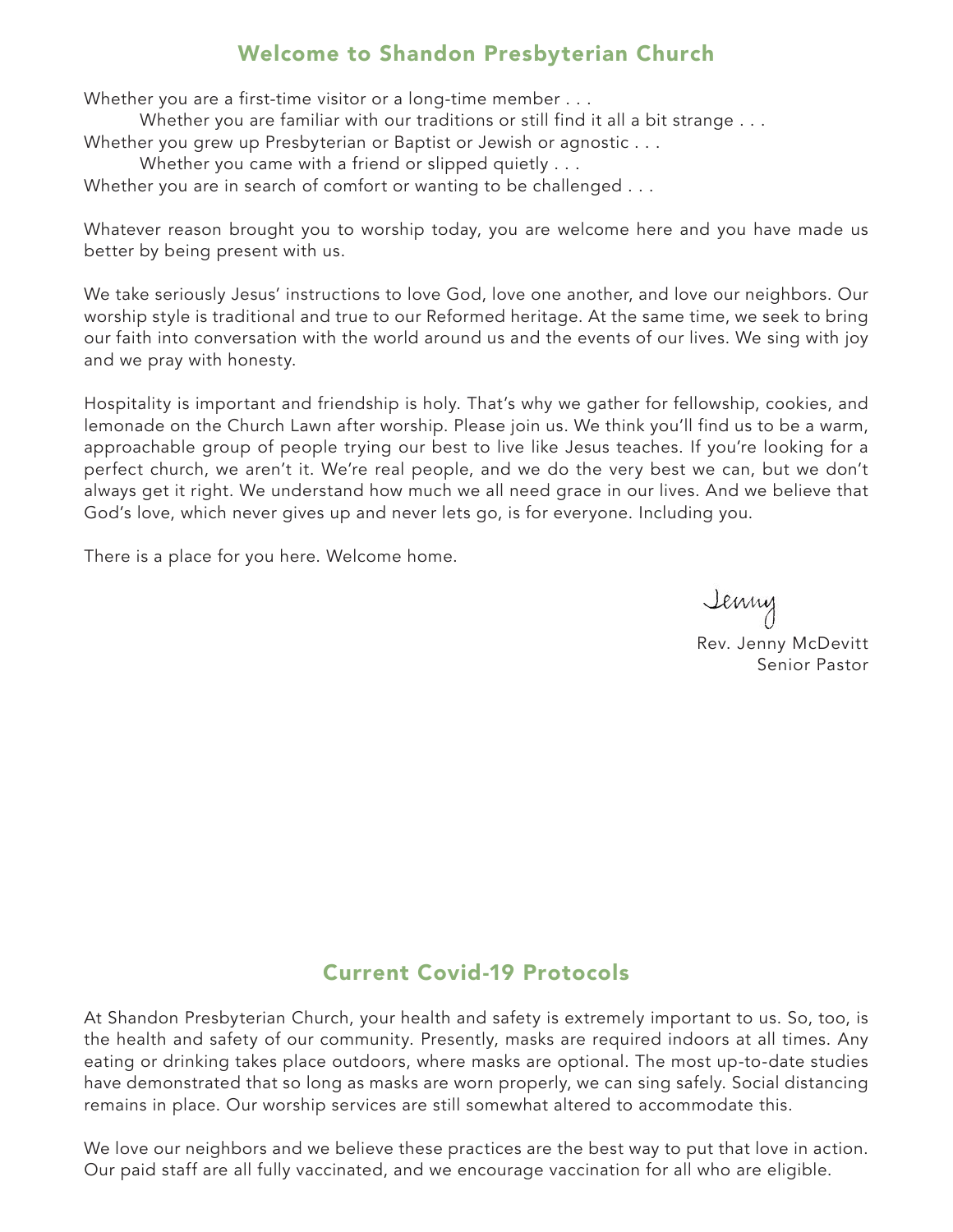## Welcome to Shandon Presbyterian Church

Whether you are a first-time visitor or a long-time member . . .

Whether you are familiar with our traditions or still find it all a bit strange . . .

Whether you grew up Presbyterian or Baptist or Jewish or agnostic . . .

Whether you came with a friend or slipped quietly . . .

Whether you are in search of comfort or wanting to be challenged . . .

Whatever reason brought you to worship today, you are welcome here and you have made us better by being present with us.

We take seriously Jesus' instructions to love God, love one another, and love our neighbors. Our worship style is traditional and true to our Reformed heritage. At the same time, we seek to bring our faith into conversation with the world around us and the events of our lives. We sing with joy and we pray with honesty.

Hospitality is important and friendship is holy. That's why we gather for fellowship, cookies, and lemonade on the Church Lawn after worship. Please join us. We think you'll find us to be a warm, approachable group of people trying our best to live like Jesus teaches. If you're looking for a perfect church, we aren't it. We're real people, and we do the very best we can, but we don't always get it right. We understand how much we all need grace in our lives. And we believe that God's love, which never gives up and never lets go, is for everyone. Including you.

There is a place for you here. Welcome home.

Jenny Rev. Jenny McDevitt Senior Pastor

## Current Covid-19 Protocols

At Shandon Presbyterian Church, your health and safety is extremely important to us. So, too, is the health and safety of our community. Presently, masks are required indoors at all times. Any eating or drinking takes place outdoors, where masks are optional. The most up-to-date studies have demonstrated that so long as masks are worn properly, we can sing safely. Social distancing remains in place. Our worship services are still somewhat altered to accommodate this.

We love our neighbors and we believe these practices are the best way to put that love in action. Our paid staff are all fully vaccinated, and we encourage vaccination for all who are eligible.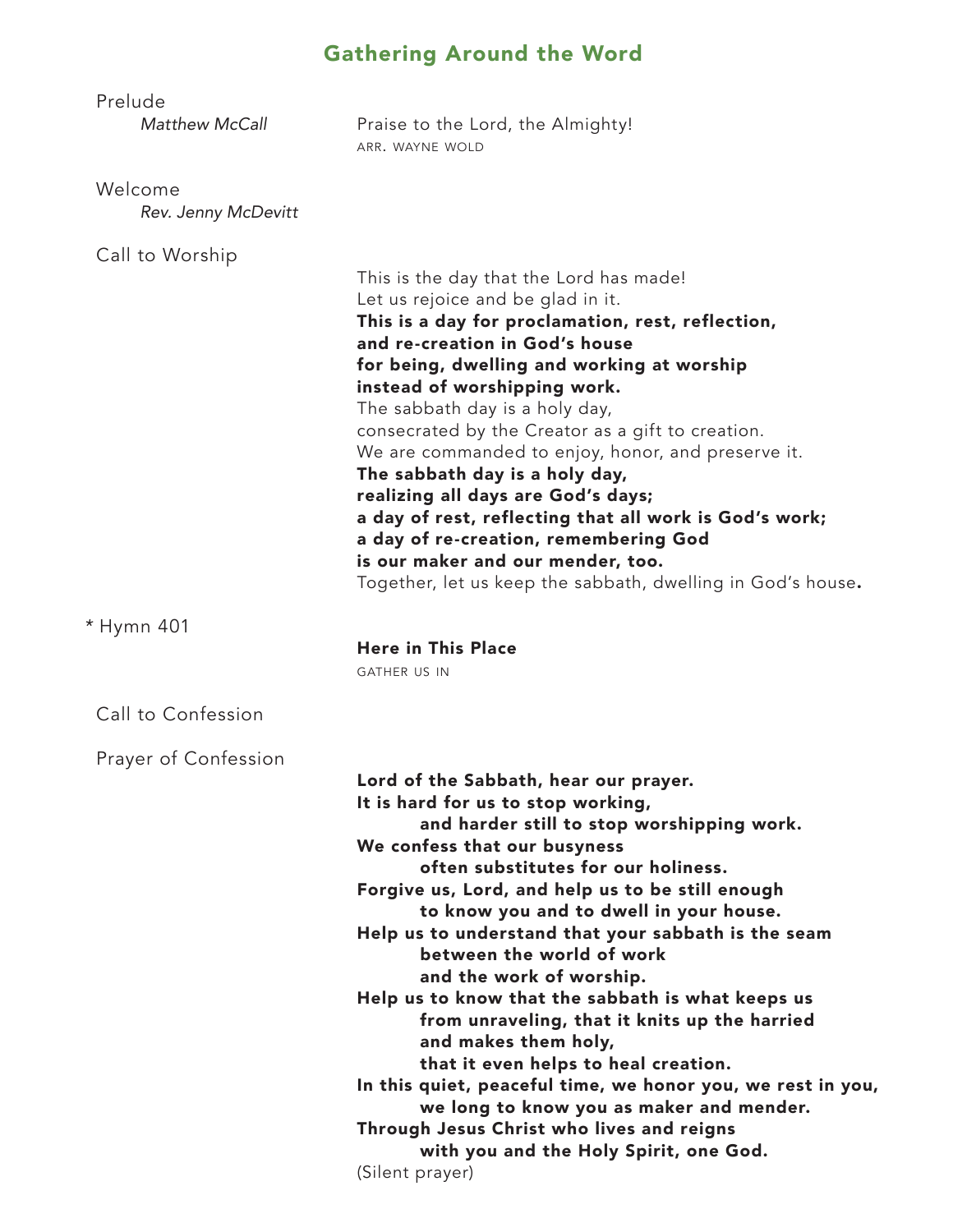# Gathering Around the Word

| Prelude<br>Matthew McCall      | Praise to the Lord, the Almighty!<br>ARR. WAYNE WOLD                                                                                                                                                                                                                                                                                                                                                                                                                                                                                                                                                                                                                                                                                                                                                       |
|--------------------------------|------------------------------------------------------------------------------------------------------------------------------------------------------------------------------------------------------------------------------------------------------------------------------------------------------------------------------------------------------------------------------------------------------------------------------------------------------------------------------------------------------------------------------------------------------------------------------------------------------------------------------------------------------------------------------------------------------------------------------------------------------------------------------------------------------------|
| Welcome<br>Rev. Jenny McDevitt |                                                                                                                                                                                                                                                                                                                                                                                                                                                                                                                                                                                                                                                                                                                                                                                                            |
| Call to Worship                | This is the day that the Lord has made!<br>Let us rejoice and be glad in it.<br>This is a day for proclamation, rest, reflection,<br>and re-creation in God's house<br>for being, dwelling and working at worship<br>instead of worshipping work.<br>The sabbath day is a holy day,<br>consecrated by the Creator as a gift to creation.<br>We are commanded to enjoy, honor, and preserve it.<br>The sabbath day is a holy day,<br>realizing all days are God's days;<br>a day of rest, reflecting that all work is God's work;<br>a day of re-creation, remembering God<br>is our maker and our mender, too.                                                                                                                                                                                             |
| * Hymn 401                     | Together, let us keep the sabbath, dwelling in God's house.<br><b>Here in This Place</b><br><b>GATHER US IN</b>                                                                                                                                                                                                                                                                                                                                                                                                                                                                                                                                                                                                                                                                                            |
| Call to Confession             |                                                                                                                                                                                                                                                                                                                                                                                                                                                                                                                                                                                                                                                                                                                                                                                                            |
| Prayer of Confession           | Lord of the Sabbath, hear our prayer.<br>It is hard for us to stop working,<br>and harder still to stop worshipping work.<br>We confess that our busyness<br>often substitutes for our holiness.<br>Forgive us, Lord, and help us to be still enough<br>to know you and to dwell in your house.<br>Help us to understand that your sabbath is the seam<br>between the world of work<br>and the work of worship.<br>Help us to know that the sabbath is what keeps us<br>from unraveling, that it knits up the harried<br>and makes them holy,<br>that it even helps to heal creation.<br>In this quiet, peaceful time, we honor you, we rest in you,<br>we long to know you as maker and mender.<br>Through Jesus Christ who lives and reigns<br>with you and the Holy Spirit, one God.<br>(Silent prayer) |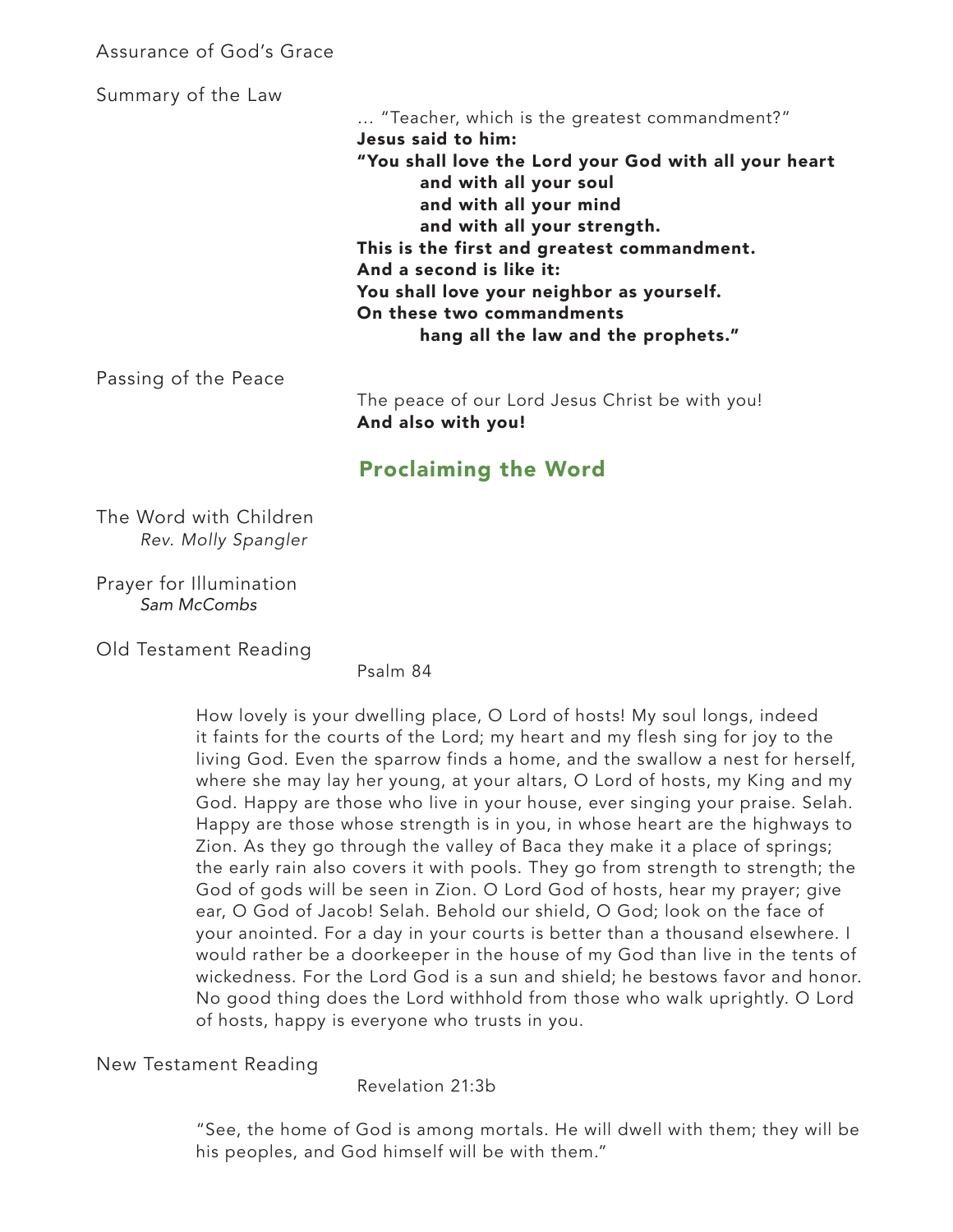#### Assurance of God's Grace

Summary of the Law

… "Teacher, which is the greatest commandment?" Jesus said to him: "You shall love the Lord your God with all your heart and with all your soul and with all your mind and with all your strength. This is the first and greatest commandment. And a second is like it: You shall love your neighbor as yourself. On these two commandments hang all the law and the prophets."

Passing of the Peace

The peace of our Lord Jesus Christ be with you! And also with you!

## Proclaiming the Word

 The Word with Children *Rev. Molly Spangler*

 Prayer for Illumination *Sam McCombs*

Old Testament Reading

Psalm 84

How lovely is your dwelling place, O Lord of hosts! My soul longs, indeed it faints for the courts of the Lord; my heart and my flesh sing for joy to the living God. Even the sparrow finds a home, and the swallow a nest for herself, where she may lay her young, at your altars, O Lord of hosts, my King and my God. Happy are those who live in your house, ever singing your praise. Selah. Happy are those whose strength is in you, in whose heart are the highways to Zion. As they go through the valley of Baca they make it a place of springs; the early rain also covers it with pools. They go from strength to strength; the God of gods will be seen in Zion. O Lord God of hosts, hear my prayer; give ear, O God of Jacob! Selah. Behold our shield, O God; look on the face of your anointed. For a day in your courts is better than a thousand elsewhere. I would rather be a doorkeeper in the house of my God than live in the tents of wickedness. For the Lord God is a sun and shield; he bestows favor and honor. No good thing does the Lord withhold from those who walk uprightly. O Lord of hosts, happy is everyone who trusts in you.

New Testament Reading

Revelation 21:3b

"See, the home of God is among mortals. He will dwell with them; they will be his peoples, and God himself will be with them."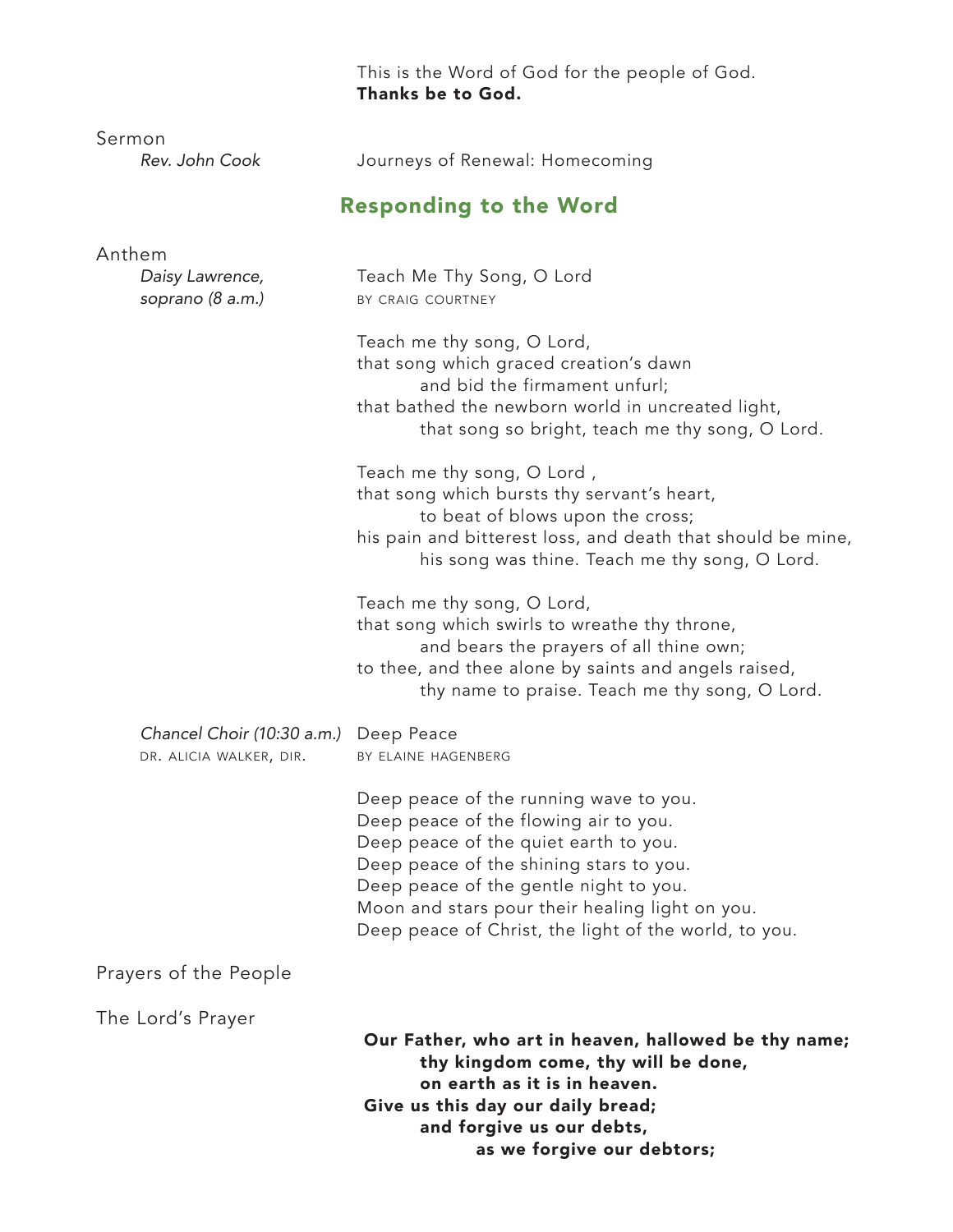This is the Word of God for the people of God. Thanks be to God.

| Journeys of Renewal: Homecoming<br><b>Responding to the Word</b><br>Teach Me Thy Song, O Lord<br>BY CRAIG COURTNEY                                                                                                                                                                                                        |
|---------------------------------------------------------------------------------------------------------------------------------------------------------------------------------------------------------------------------------------------------------------------------------------------------------------------------|
|                                                                                                                                                                                                                                                                                                                           |
|                                                                                                                                                                                                                                                                                                                           |
|                                                                                                                                                                                                                                                                                                                           |
| Teach me thy song, O Lord,<br>that song which graced creation's dawn<br>and bid the firmament unfurl;<br>that bathed the newborn world in uncreated light,<br>that song so bright, teach me thy song, O Lord.                                                                                                             |
| Teach me thy song, O Lord,<br>that song which bursts thy servant's heart,<br>to beat of blows upon the cross;<br>his pain and bitterest loss, and death that should be mine,<br>his song was thine. Teach me thy song, O Lord.                                                                                            |
| Teach me thy song, O Lord,<br>that song which swirls to wreathe thy throne,<br>and bears the prayers of all thine own;<br>to thee, and thee alone by saints and angels raised,<br>thy name to praise. Teach me thy song, O Lord.                                                                                          |
| Chancel Choir (10:30 a.m.) Deep Peace<br>BY ELAINE HAGENBERG                                                                                                                                                                                                                                                              |
| Deep peace of the running wave to you.<br>Deep peace of the flowing air to you.<br>Deep peace of the quiet earth to you.<br>Deep peace of the shining stars to you.<br>Deep peace of the gentle night to you.<br>Moon and stars pour their healing light on you.<br>Deep peace of Christ, the light of the world, to you. |
|                                                                                                                                                                                                                                                                                                                           |
| Our Father, who art in heaven, hallowed be thy name;<br>thy kingdom come, thy will be done,<br>on earth as it is in heaven.<br>Give us this day our daily bread;<br>and forgive us our debts,<br>as we forgive our debtors;                                                                                               |
|                                                                                                                                                                                                                                                                                                                           |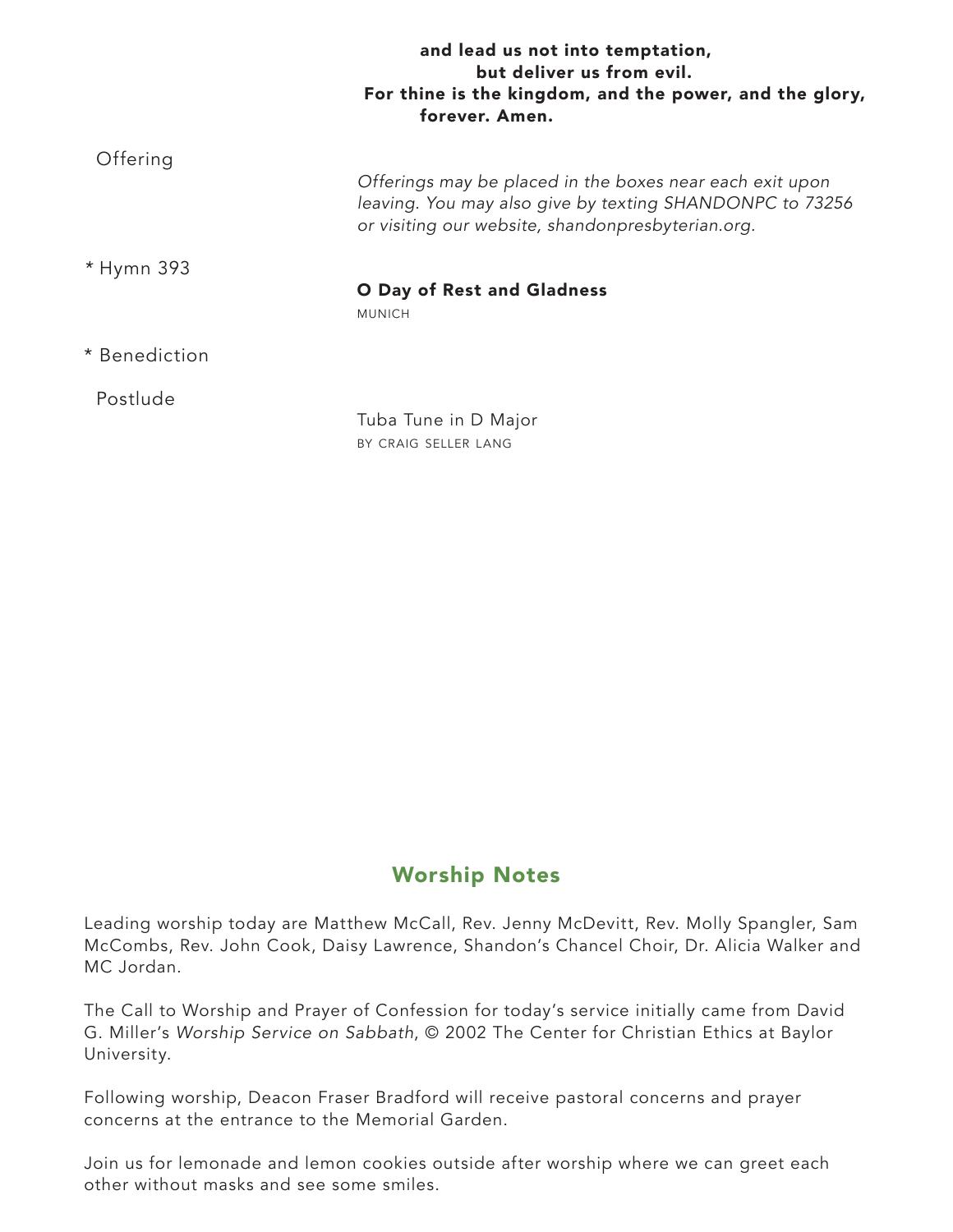|               | and lead us not into temptation,<br>but deliver us from evil.<br>For thine is the kingdom, and the power, and the glory,<br>forever. Amen.                                |
|---------------|---------------------------------------------------------------------------------------------------------------------------------------------------------------------------|
| Offering      | Offerings may be placed in the boxes near each exit upon<br>leaving. You may also give by texting SHANDONPC to 73256<br>or visiting our website, shandonpresbyterian.org. |
| * Hymn 393    | O Day of Rest and Gladness<br><b>MUNICH</b>                                                                                                                               |
| * Benediction |                                                                                                                                                                           |
| Postlude      | Tuba Tune in D Major<br>BY CRAIG SELLER LANG                                                                                                                              |

## Worship Notes

Leading worship today are Matthew McCall, Rev. Jenny McDevitt, Rev. Molly Spangler, Sam McCombs, Rev. John Cook, Daisy Lawrence, Shandon's Chancel Choir, Dr. Alicia Walker and MC Jordan.

The Call to Worship and Prayer of Confession for today's service initially came from David G. Miller's *Worship Service on Sabbath*, © 2002 The Center for Christian Ethics at Baylor University.

Following worship, Deacon Fraser Bradford will receive pastoral concerns and prayer concerns at the entrance to the Memorial Garden.

Join us for lemonade and lemon cookies outside after worship where we can greet each other without masks and see some smiles.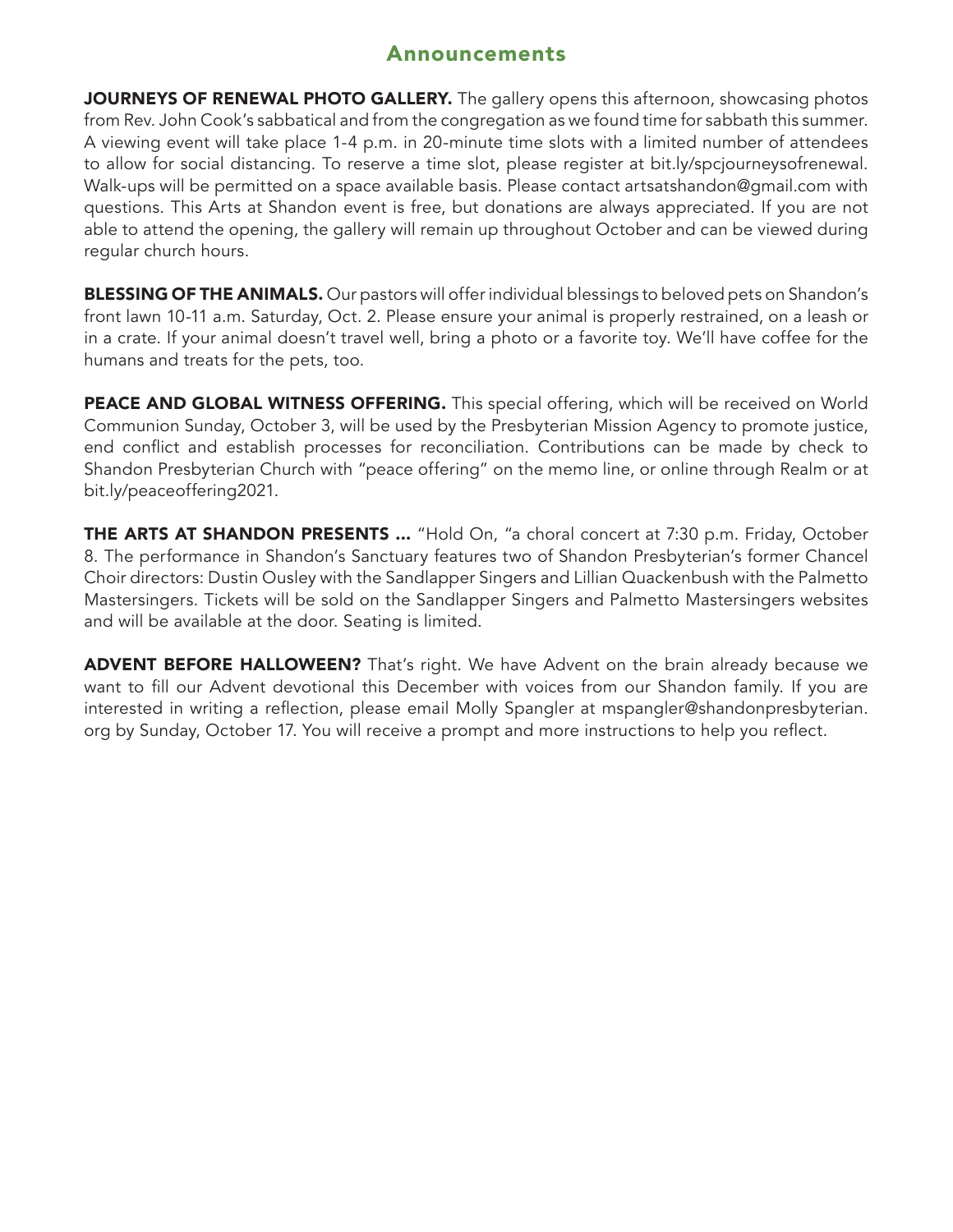### Announcements

JOURNEYS OF RENEWAL PHOTO GALLERY. The gallery opens this afternoon, showcasing photos from Rev. John Cook's sabbatical and from the congregation as we found time for sabbath this summer. A viewing event will take place 1-4 p.m. in 20-minute time slots with a limited number of attendees to allow for social distancing. To reserve a time slot, please register at bit.ly/spcjourneysofrenewal. Walk-ups will be permitted on a space available basis. Please contact artsatshandon@gmail.com with questions. This Arts at Shandon event is free, but donations are always appreciated. If you are not able to attend the opening, the gallery will remain up throughout October and can be viewed during regular church hours.

**BLESSING OF THE ANIMALS.** Our pastors will offer individual blessings to beloved pets on Shandon's front lawn 10-11 a.m. Saturday, Oct. 2. Please ensure your animal is properly restrained, on a leash or in a crate. If your animal doesn't travel well, bring a photo or a favorite toy. We'll have coffee for the humans and treats for the pets, too.

PEACE AND GLOBAL WITNESS OFFERING. This special offering, which will be received on World Communion Sunday, October 3, will be used by the Presbyterian Mission Agency to promote justice, end conflict and establish processes for reconciliation. Contributions can be made by check to Shandon Presbyterian Church with "peace offering" on the memo line, or online through Realm or at bit.ly/peaceoffering2021.

THE ARTS AT SHANDON PRESENTS ... "Hold On, "a choral concert at 7:30 p.m. Friday, October 8. The performance in Shandon's Sanctuary features two of Shandon Presbyterian's former Chancel Choir directors: Dustin Ousley with the Sandlapper Singers and Lillian Quackenbush with the Palmetto Mastersingers. Tickets will be sold on the Sandlapper Singers and Palmetto Mastersingers websites and will be available at the door. Seating is limited.

**ADVENT BEFORE HALLOWEEN?** That's right. We have Advent on the brain already because we want to fill our Advent devotional this December with voices from our Shandon family. If you are interested in writing a reflection, please email Molly Spangler at mspangler@shandonpresbyterian. org by Sunday, October 17. You will receive a prompt and more instructions to help you reflect.